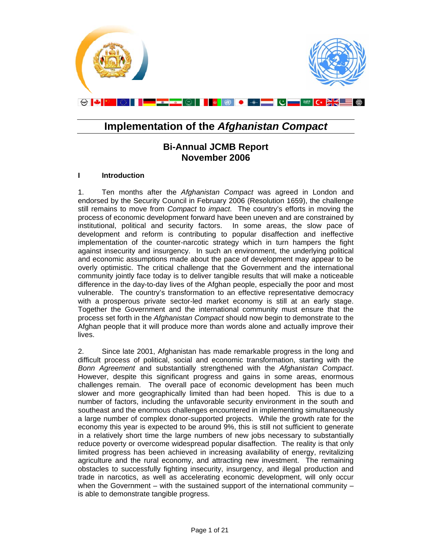

# **Implementation of the** *Afghanistan Compact*

# **Bi-Annual JCMB Report November 2006**

### **I Introduction**

1. Ten months after the *Afghanistan Compact* was agreed in London and endorsed by the Security Council in February 2006 (Resolution 1659), the challenge still remains to move from *Compact* to *impact*. The country's efforts in moving the process of economic development forward have been uneven and are constrained by institutional, political and security factors. In some areas, the slow pace of development and reform is contributing to popular disaffection and ineffective implementation of the counter-narcotic strategy which in turn hampers the fight against insecurity and insurgency. In such an environment, the underlying political and economic assumptions made about the pace of development may appear to be overly optimistic. The critical challenge that the Government and the international community jointly face today is to deliver tangible results that will make a noticeable difference in the day-to-day lives of the Afghan people, especially the poor and most vulnerable. The country's transformation to an effective representative democracy with a prosperous private sector-led market economy is still at an early stage. Together the Government and the international community must ensure that the process set forth in the *Afghanistan Compact* should now begin to demonstrate to the Afghan people that it will produce more than words alone and actually improve their lives.

2. Since late 2001, Afghanistan has made remarkable progress in the long and difficult process of political, social and economic transformation, starting with the *Bonn Agreement* and substantially strengthened with the *Afghanistan Compact*. However, despite this significant progress and gains in some areas, enormous challenges remain. The overall pace of economic development has been much slower and more geographically limited than had been hoped. This is due to a number of factors, including the unfavorable security environment in the south and southeast and the enormous challenges encountered in implementing simultaneously a large number of complex donor-supported projects. While the growth rate for the economy this year is expected to be around 9%, this is still not sufficient to generate in a relatively short time the large numbers of new jobs necessary to substantially reduce poverty or overcome widespread popular disaffection. The reality is that only limited progress has been achieved in increasing availability of energy, revitalizing agriculture and the rural economy, and attracting new investment. The remaining obstacles to successfully fighting insecurity, insurgency, and illegal production and trade in narcotics, as well as accelerating economic development, will only occur when the Government – with the sustained support of the international community – is able to demonstrate tangible progress.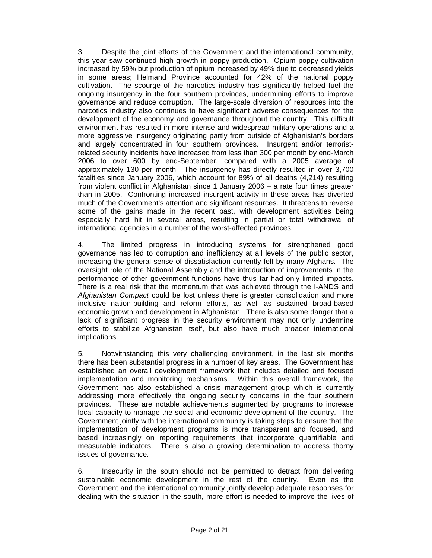3. Despite the joint efforts of the Government and the international community, this year saw continued high growth in poppy production. Opium poppy cultivation increased by 59% but production of opium increased by 49% due to decreased yields in some areas; Helmand Province accounted for 42% of the national poppy cultivation. The scourge of the narcotics industry has significantly helped fuel the ongoing insurgency in the four southern provinces, undermining efforts to improve governance and reduce corruption. The large-scale diversion of resources into the narcotics industry also continues to have significant adverse consequences for the development of the economy and governance throughout the country. This difficult environment has resulted in more intense and widespread military operations and a more aggressive insurgency originating partly from outside of Afghanistan's borders and largely concentrated in four southern provinces. Insurgent and/or terroristrelated security incidents have increased from less than 300 per month by end-March 2006 to over 600 by end-September, compared with a 2005 average of approximately 130 per month. The insurgency has directly resulted in over 3,700 fatalities since January 2006, which account for 89% of all deaths (4,214) resulting from violent conflict in Afghanistan since 1 January 2006 – a rate four times greater than in 2005. Confronting increased insurgent activity in these areas has diverted much of the Government's attention and significant resources. It threatens to reverse some of the gains made in the recent past, with development activities being especially hard hit in several areas, resulting in partial or total withdrawal of international agencies in a number of the worst-affected provinces.

4. The limited progress in introducing systems for strengthened good governance has led to corruption and inefficiency at all levels of the public sector, increasing the general sense of dissatisfaction currently felt by many Afghans. The oversight role of the National Assembly and the introduction of improvements in the performance of other government functions have thus far had only limited impacts. There is a real risk that the momentum that was achieved through the I-ANDS and *Afghanistan Compact* could be lost unless there is greater consolidation and more inclusive nation-building and reform efforts, as well as sustained broad-based economic growth and development in Afghanistan. There is also some danger that a lack of significant progress in the security environment may not only undermine efforts to stabilize Afghanistan itself, but also have much broader international implications.

5. Notwithstanding this very challenging environment, in the last six months there has been substantial progress in a number of key areas. The Government has established an overall development framework that includes detailed and focused implementation and monitoring mechanisms. Within this overall framework, the Government has also established a crisis management group which is currently addressing more effectively the ongoing security concerns in the four southern provinces. These are notable achievements augmented by programs to increase local capacity to manage the social and economic development of the country. The Government jointly with the international community is taking steps to ensure that the implementation of development programs is more transparent and focused, and based increasingly on reporting requirements that incorporate quantifiable and measurable indicators. There is also a growing determination to address thorny issues of governance.

6. Insecurity in the south should not be permitted to detract from delivering sustainable economic development in the rest of the country. Even as the Government and the international community jointly develop adequate responses for dealing with the situation in the south, more effort is needed to improve the lives of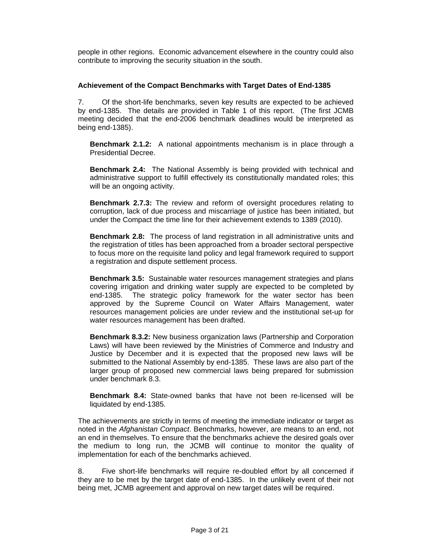people in other regions. Economic advancement elsewhere in the country could also contribute to improving the security situation in the south.

### **Achievement of the Compact Benchmarks with Target Dates of End-1385**

7. Of the short-life benchmarks, seven key results are expected to be achieved by end-1385. The details are provided in Table 1 of this report. (The first JCMB meeting decided that the end-2006 benchmark deadlines would be interpreted as being end-1385).

**Benchmark 2.1.2:** A national appointments mechanism is in place through a Presidential Decree.

**Benchmark 2.4:** The National Assembly is being provided with technical and administrative support to fulfill effectively its constitutionally mandated roles; this will be an ongoing activity.

**Benchmark 2.7.3:** The review and reform of oversight procedures relating to corruption, lack of due process and miscarriage of justice has been initiated, but under the Compact the time line for their achievement extends to 1389 (2010).

**Benchmark 2.8:** The process of land registration in all administrative units and the registration of titles has been approached from a broader sectoral perspective to focus more on the requisite land policy and legal framework required to support a registration and dispute settlement process.

**Benchmark 3.5:** Sustainable water resources management strategies and plans covering irrigation and drinking water supply are expected to be completed by end-1385. The strategic policy framework for the water sector has been approved by the Supreme Council on Water Affairs Management, water resources management policies are under review and the institutional set-up for water resources management has been drafted.

**Benchmark 8.3.2:** New business organization laws (Partnership and Corporation Laws) will have been reviewed by the Ministries of Commerce and Industry and Justice by December and it is expected that the proposed new laws will be submitted to the National Assembly by end-1385. These laws are also part of the larger group of proposed new commercial laws being prepared for submission under benchmark 8.3.

**Benchmark 8.4:** State-owned banks that have not been re-licensed will be liquidated by end-1385.

The achievements are strictly in terms of meeting the immediate indicator or target as noted in the *Afghanistan Compact*. Benchmarks, however, are means to an end, not an end in themselves. To ensure that the benchmarks achieve the desired goals over the medium to long run, the JCMB will continue to monitor the quality of implementation for each of the benchmarks achieved.

8. Five short-life benchmarks will require re-doubled effort by all concerned if they are to be met by the target date of end-1385. In the unlikely event of their not being met, JCMB agreement and approval on new target dates will be required.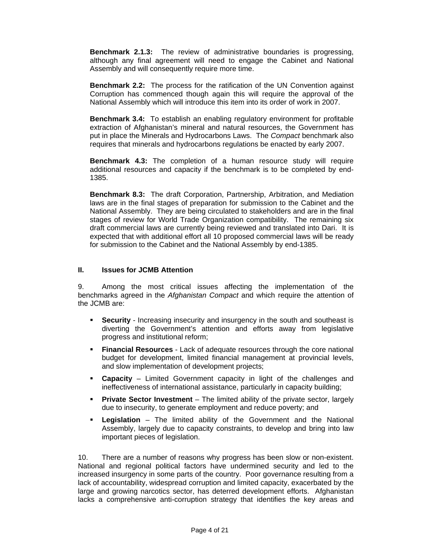**Benchmark 2.1.3:** The review of administrative boundaries is progressing, although any final agreement will need to engage the Cabinet and National Assembly and will consequently require more time.

**Benchmark 2.2:** The process for the ratification of the UN Convention against Corruption has commenced though again this will require the approval of the National Assembly which will introduce this item into its order of work in 2007.

**Benchmark 3.4:** To establish an enabling regulatory environment for profitable extraction of Afghanistan's mineral and natural resources, the Government has put in place the Minerals and Hydrocarbons Laws. The *Compact* benchmark also requires that minerals and hydrocarbons regulations be enacted by early 2007.

**Benchmark 4.3:** The completion of a human resource study will require additional resources and capacity if the benchmark is to be completed by end-1385.

**Benchmark 8.3:** The draft Corporation, Partnership, Arbitration, and Mediation laws are in the final stages of preparation for submission to the Cabinet and the National Assembly. They are being circulated to stakeholders and are in the final stages of review for World Trade Organization compatibility. The remaining six draft commercial laws are currently being reviewed and translated into Dari. It is expected that with additional effort all 10 proposed commercial laws will be ready for submission to the Cabinet and the National Assembly by end-1385.

#### **II. Issues for JCMB Attention**

9. Among the most critical issues affecting the implementation of the benchmarks agreed in the *Afghanistan Compact* and which require the attention of the JCMB are:

- **Security** Increasing insecurity and insurgency in the south and southeast is diverting the Government's attention and efforts away from legislative progress and institutional reform;
- **Financial Resources** Lack of adequate resources through the core national budget for development, limited financial management at provincial levels, and slow implementation of development projects;
- **Capacity** Limited Government capacity in light of the challenges and ineffectiveness of international assistance, particularly in capacity building;
- **Private Sector Investment** The limited ability of the private sector, largely due to insecurity, to generate employment and reduce poverty; and
- **Legislation** The limited ability of the Government and the National Assembly, largely due to capacity constraints, to develop and bring into law important pieces of legislation.

10. There are a number of reasons why progress has been slow or non-existent. National and regional political factors have undermined security and led to the increased insurgency in some parts of the country. Poor governance resulting from a lack of accountability, widespread corruption and limited capacity, exacerbated by the large and growing narcotics sector, has deterred development efforts. Afghanistan lacks a comprehensive anti-corruption strategy that identifies the key areas and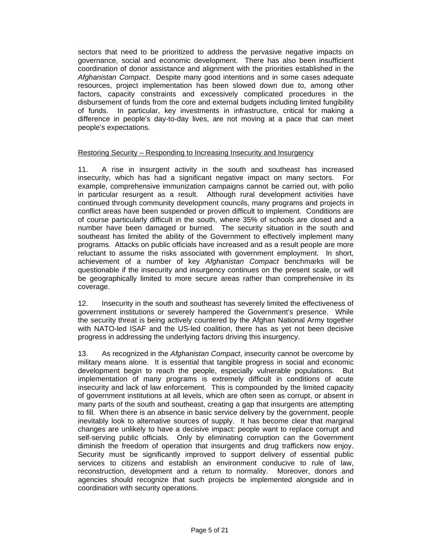sectors that need to be prioritized to address the pervasive negative impacts on governance, social and economic development. There has also been insufficient coordination of donor assistance and alignment with the priorities established in the *Afghanistan Compact*. Despite many good intentions and in some cases adequate resources, project implementation has been slowed down due to, among other factors, capacity constraints and excessively complicated procedures in the disbursement of funds from the core and external budgets including limited fungibility of funds. In particular, key investments in infrastructure, critical for making a difference in people's day-to-day lives, are not moving at a pace that can meet people's expectations.

### Restoring Security – Responding to Increasing Insecurity and Insurgency

11. A rise in insurgent activity in the south and southeast has increased insecurity, which has had a significant negative impact on many sectors. For example, comprehensive immunization campaigns cannot be carried out, with polio in particular resurgent as a result. Although rural development activities have continued through community development councils, many programs and projects in conflict areas have been suspended or proven difficult to implement. Conditions are of course particularly difficult in the south, where 35% of schools are closed and a number have been damaged or burned. The security situation in the south and southeast has limited the ability of the Government to effectively implement many programs. Attacks on public officials have increased and as a result people are more reluctant to assume the risks associated with government employment. In short, achievement of a number of key *Afghanistan Compact* benchmarks will be questionable if the insecurity and insurgency continues on the present scale, or will be geographically limited to more secure areas rather than comprehensive in its coverage.

12. Insecurity in the south and southeast has severely limited the effectiveness of government institutions or severely hampered the Government's presence. While the security threat is being actively countered by the Afghan National Army together with NATO-led ISAF and the US-led coalition, there has as yet not been decisive progress in addressing the underlying factors driving this insurgency.

13. As recognized in the *Afghanistan Compact*, insecurity cannot be overcome by military means alone. It is essential that tangible progress in social and economic development begin to reach the people, especially vulnerable populations. But implementation of many programs is extremely difficult in conditions of acute insecurity and lack of law enforcement. This is compounded by the limited capacity of government institutions at all levels, which are often seen as corrupt, or absent in many parts of the south and southeast, creating a gap that insurgents are attempting to fill. When there is an absence in basic service delivery by the government, people inevitably look to alternative sources of supply. It has become clear that marginal changes are unlikely to have a decisive impact: people want to replace corrupt and self-serving public officials. Only by eliminating corruption can the Government diminish the freedom of operation that insurgents and drug traffickers now enjoy. Security must be significantly improved to support delivery of essential public services to citizens and establish an environment conducive to rule of law, reconstruction, development and a return to normality. Moreover, donors and agencies should recognize that such projects be implemented alongside and in coordination with security operations.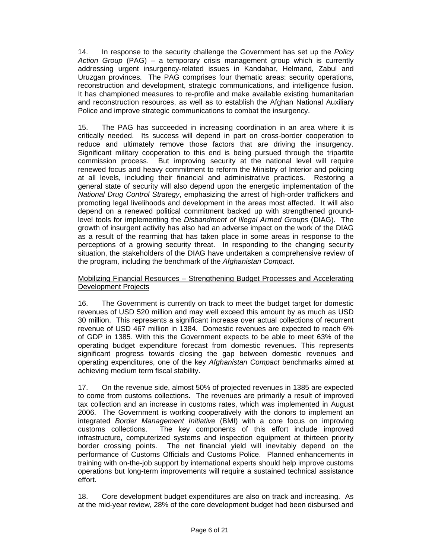14. In response to the security challenge the Government has set up the *Policy Action Group* (PAG) – a temporary crisis management group which is currently addressing urgent insurgency-related issues in Kandahar, Helmand, Zabul and Uruzgan provinces. The PAG comprises four thematic areas: security operations, reconstruction and development, strategic communications, and intelligence fusion. It has championed measures to re-profile and make available existing humanitarian and reconstruction resources, as well as to establish the Afghan National Auxiliary Police and improve strategic communications to combat the insurgency.

15. The PAG has succeeded in increasing coordination in an area where it is critically needed. Its success will depend in part on cross-border cooperation to reduce and ultimately remove those factors that are driving the insurgency. Significant military cooperation to this end is being pursued through the tripartite commission process. But improving security at the national level will require renewed focus and heavy commitment to reform the Ministry of Interior and policing at all levels, including their financial and administrative practices. Restoring a general state of security will also depend upon the energetic implementation of the *National Drug Control Strategy*, emphasizing the arrest of high-order traffickers and promoting legal livelihoods and development in the areas most affected. It will also depend on a renewed political commitment backed up with strengthened groundlevel tools for implementing the *Disbandment of Illegal Armed Groups* (DIAG). The growth of insurgent activity has also had an adverse impact on the work of the DIAG as a result of the rearming that has taken place in some areas in response to the perceptions of a growing security threat. In responding to the changing security situation, the stakeholders of the DIAG have undertaken a comprehensive review of the program, including the benchmark of the *Afghanistan Compact*.

### Mobilizing Financial Resources – Strengthening Budget Processes and Accelerating Development Projects

16. The Government is currently on track to meet the budget target for domestic revenues of USD 520 million and may well exceed this amount by as much as USD 30 million. This represents a significant increase over actual collections of recurrent revenue of USD 467 million in 1384. Domestic revenues are expected to reach 6% of GDP in 1385. With this the Government expects to be able to meet 63% of the operating budget expenditure forecast from domestic revenues. This represents significant progress towards closing the gap between domestic revenues and operating expenditures, one of the key *Afghanistan Compact* benchmarks aimed at achieving medium term fiscal stability.

17. On the revenue side, almost 50% of projected revenues in 1385 are expected to come from customs collections. The revenues are primarily a result of improved tax collection and an increase in customs rates, which was implemented in August 2006. The Government is working cooperatively with the donors to implement an integrated *Border Management Initiative* (BMI) with a core focus on improving customs collections. The key components of this effort include improved infrastructure, computerized systems and inspection equipment at thirteen priority border crossing points. The net financial yield will inevitably depend on the performance of Customs Officials and Customs Police. Planned enhancements in training with on-the-job support by international experts should help improve customs operations but long-term improvements will require a sustained technical assistance effort.

18. Core development budget expenditures are also on track and increasing. As at the mid-year review, 28% of the core development budget had been disbursed and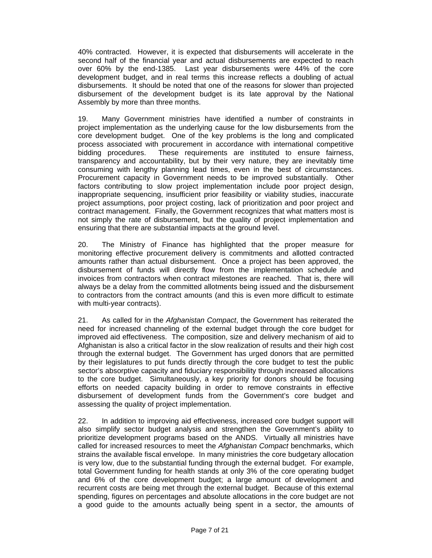40% contracted. However, it is expected that disbursements will accelerate in the second half of the financial year and actual disbursements are expected to reach over 60% by the end-1385. Last year disbursements were 44% of the core development budget, and in real terms this increase reflects a doubling of actual disbursements. It should be noted that one of the reasons for slower than projected disbursement of the development budget is its late approval by the National Assembly by more than three months.

19. Many Government ministries have identified a number of constraints in project implementation as the underlying cause for the low disbursements from the core development budget. One of the key problems is the long and complicated process associated with procurement in accordance with international competitive bidding procedures. These requirements are instituted to ensure fairness, transparency and accountability, but by their very nature, they are inevitably time consuming with lengthy planning lead times, even in the best of circumstances. Procurement capacity in Government needs to be improved substantially. Other factors contributing to slow project implementation include poor project design, inappropriate sequencing, insufficient prior feasibility or viability studies, inaccurate project assumptions, poor project costing, lack of prioritization and poor project and contract management. Finally, the Government recognizes that what matters most is not simply the rate of disbursement, but the quality of project implementation and ensuring that there are substantial impacts at the ground level.

20. The Ministry of Finance has highlighted that the proper measure for monitoring effective procurement delivery is commitments and allotted contracted amounts rather than actual disbursement. Once a project has been approved, the disbursement of funds will directly flow from the implementation schedule and invoices from contractors when contract milestones are reached. That is, there will always be a delay from the committed allotments being issued and the disbursement to contractors from the contract amounts (and this is even more difficult to estimate with multi-year contracts).

21. As called for in the *Afghanistan Compact*, the Government has reiterated the need for increased channeling of the external budget through the core budget for improved aid effectiveness. The composition, size and delivery mechanism of aid to Afghanistan is also a critical factor in the slow realization of results and their high cost through the external budget. The Government has urged donors that are permitted by their legislatures to put funds directly through the core budget to test the public sector's absorptive capacity and fiduciary responsibility through increased allocations to the core budget. Simultaneously, a key priority for donors should be focusing efforts on needed capacity building in order to remove constraints in effective disbursement of development funds from the Government's core budget and assessing the quality of project implementation.

22. In addition to improving aid effectiveness, increased core budget support will also simplify sector budget analysis and strengthen the Government's ability to prioritize development programs based on the ANDS. Virtually all ministries have called for increased resources to meet the *Afghanistan Compact* benchmarks, which strains the available fiscal envelope. In many ministries the core budgetary allocation is very low, due to the substantial funding through the external budget. For example, total Government funding for health stands at only 3% of the core operating budget and 6% of the core development budget; a large amount of development and recurrent costs are being met through the external budget. Because of this external spending, figures on percentages and absolute allocations in the core budget are not a good guide to the amounts actually being spent in a sector, the amounts of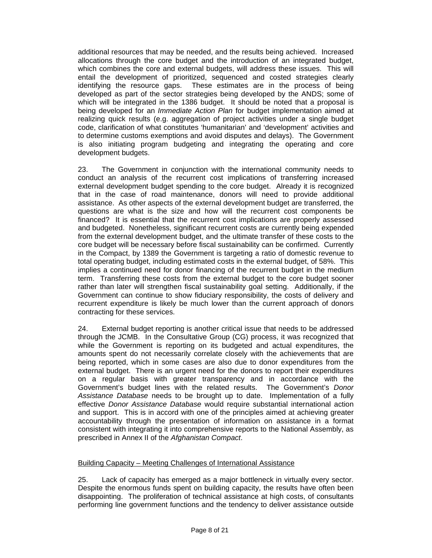additional resources that may be needed, and the results being achieved. Increased allocations through the core budget and the introduction of an integrated budget, which combines the core and external budgets, will address these issues. This will entail the development of prioritized, sequenced and costed strategies clearly identifying the resource gaps. These estimates are in the process of being developed as part of the sector strategies being developed by the ANDS; some of which will be integrated in the 1386 budget. It should be noted that a proposal is being developed for an *Immediate Action Plan* for budget implementation aimed at realizing quick results (e.g. aggregation of project activities under a single budget code, clarification of what constitutes 'humanitarian' and 'development' activities and to determine customs exemptions and avoid disputes and delays). The Government is also initiating program budgeting and integrating the operating and core development budgets.

23. The Government in conjunction with the international community needs to conduct an analysis of the recurrent cost implications of transferring increased external development budget spending to the core budget. Already it is recognized that in the case of road maintenance, donors will need to provide additional assistance. As other aspects of the external development budget are transferred, the questions are what is the size and how will the recurrent cost components be financed? It is essential that the recurrent cost implications are properly assessed and budgeted. Nonetheless, significant recurrent costs are currently being expended from the external development budget, and the ultimate transfer of these costs to the core budget will be necessary before fiscal sustainability can be confirmed. Currently in the Compact, by 1389 the Government is targeting a ratio of domestic revenue to total operating budget, including estimated costs in the external budget, of 58%. This implies a continued need for donor financing of the recurrent budget in the medium term. Transferring these costs from the external budget to the core budget sooner rather than later will strengthen fiscal sustainability goal setting. Additionally, if the Government can continue to show fiduciary responsibility, the costs of delivery and recurrent expenditure is likely be much lower than the current approach of donors contracting for these services.

24. External budget reporting is another critical issue that needs to be addressed through the JCMB. In the Consultative Group (CG) process, it was recognized that while the Government is reporting on its budgeted and actual expenditures, the amounts spent do not necessarily correlate closely with the achievements that are being reported, which in some cases are also due to donor expenditures from the external budget. There is an urgent need for the donors to report their expenditures on a regular basis with greater transparency and in accordance with the Government's budget lines with the related results. The Government's *Donor Assistance Database* needs to be brought up to date. Implementation of a fully effective *Donor Assistance Database* would require substantial international action and support. This is in accord with one of the principles aimed at achieving greater accountability through the presentation of information on assistance in a format consistent with integrating it into comprehensive reports to the National Assembly, as prescribed in Annex II of the *Afghanistan Compact*.

### Building Capacity – Meeting Challenges of International Assistance

25. Lack of capacity has emerged as a major bottleneck in virtually every sector. Despite the enormous funds spent on building capacity, the results have often been disappointing. The proliferation of technical assistance at high costs, of consultants performing line government functions and the tendency to deliver assistance outside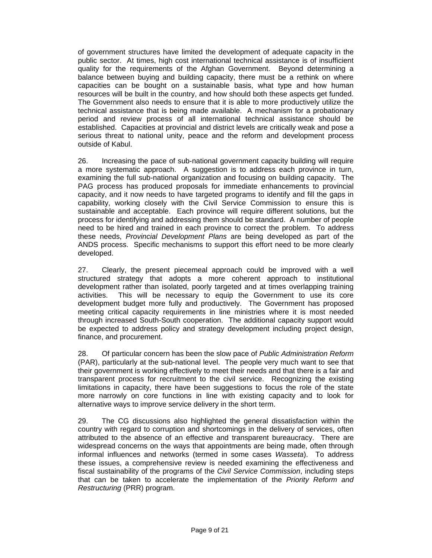of government structures have limited the development of adequate capacity in the public sector. At times, high cost international technical assistance is of insufficient quality for the requirements of the Afghan Government. Beyond determining a balance between buying and building capacity, there must be a rethink on where capacities can be bought on a sustainable basis, what type and how human resources will be built in the country, and how should both these aspects get funded. The Government also needs to ensure that it is able to more productively utilize the technical assistance that is being made available. A mechanism for a probationary period and review process of all international technical assistance should be established. Capacities at provincial and district levels are critically weak and pose a serious threat to national unity, peace and the reform and development process outside of Kabul.

26. Increasing the pace of sub-national government capacity building will require a more systematic approach. A suggestion is to address each province in turn, examining the full sub-national organization and focusing on building capacity. The PAG process has produced proposals for immediate enhancements to provincial capacity, and it now needs to have targeted programs to identify and fill the gaps in capability, working closely with the Civil Service Commission to ensure this is sustainable and acceptable. Each province will require different solutions, but the process for identifying and addressing them should be standard. A number of people need to be hired and trained in each province to correct the problem. To address these needs, *Provincial Development Plans* are being developed as part of the ANDS process. Specific mechanisms to support this effort need to be more clearly developed.

27. Clearly, the present piecemeal approach could be improved with a well structured strategy that adopts a more coherent approach to institutional development rather than isolated, poorly targeted and at times overlapping training activities. This will be necessary to equip the Government to use its core development budget more fully and productively. The Government has proposed meeting critical capacity requirements in line ministries where it is most needed through increased South-South cooperation. The additional capacity support would be expected to address policy and strategy development including project design, finance, and procurement.

28. Of particular concern has been the slow pace of *Public Administration Reform* (PAR), particularly at the sub-national level. The people very much want to see that their government is working effectively to meet their needs and that there is a fair and transparent process for recruitment to the civil service. Recognizing the existing limitations in capacity, there have been suggestions to focus the role of the state more narrowly on core functions in line with existing capacity and to look for alternative ways to improve service delivery in the short term.

29. The CG discussions also highlighted the general dissatisfaction within the country with regard to corruption and shortcomings in the delivery of services, often attributed to the absence of an effective and transparent bureaucracy. There are widespread concerns on the ways that appointments are being made, often through informal influences and networks (termed in some cases *Wasseta*). To address these issues, a comprehensive review is needed examining the effectiveness and fiscal sustainability of the programs of the *Civil Service Commission*, including steps that can be taken to accelerate the implementation of the *Priority Reform and Restructuring* (PRR) program.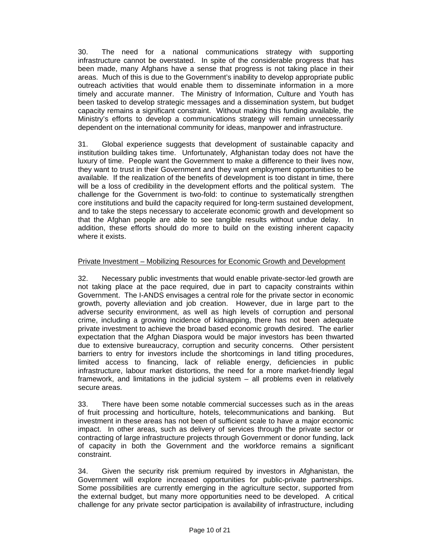30. The need for a national communications strategy with supporting infrastructure cannot be overstated. In spite of the considerable progress that has been made, many Afghans have a sense that progress is not taking place in their areas. Much of this is due to the Government's inability to develop appropriate public outreach activities that would enable them to disseminate information in a more timely and accurate manner. The Ministry of Information, Culture and Youth has been tasked to develop strategic messages and a dissemination system, but budget capacity remains a significant constraint. Without making this funding available, the Ministry's efforts to develop a communications strategy will remain unnecessarily dependent on the international community for ideas, manpower and infrastructure.

31. Global experience suggests that development of sustainable capacity and institution building takes time. Unfortunately, Afghanistan today does not have the luxury of time. People want the Government to make a difference to their lives now, they want to trust in their Government and they want employment opportunities to be available. If the realization of the benefits of development is too distant in time, there will be a loss of credibility in the development efforts and the political system. The challenge for the Government is two-fold: to continue to systematically strengthen core institutions and build the capacity required for long-term sustained development, and to take the steps necessary to accelerate economic growth and development so that the Afghan people are able to see tangible results without undue delay. In addition, these efforts should do more to build on the existing inherent capacity where it exists.

### Private Investment – Mobilizing Resources for Economic Growth and Development

32. Necessary public investments that would enable private-sector-led growth are not taking place at the pace required, due in part to capacity constraints within Government. The I-ANDS envisages a central role for the private sector in economic growth, poverty alleviation and job creation. However, due in large part to the adverse security environment, as well as high levels of corruption and personal crime, including a growing incidence of kidnapping, there has not been adequate private investment to achieve the broad based economic growth desired. The earlier expectation that the Afghan Diaspora would be major investors has been thwarted due to extensive bureaucracy, corruption and security concerns. Other persistent barriers to entry for investors include the shortcomings in land titling procedures, limited access to financing, lack of reliable energy, deficiencies in public infrastructure, labour market distortions, the need for a more market-friendly legal framework, and limitations in the judicial system – all problems even in relatively secure areas.

33. There have been some notable commercial successes such as in the areas of fruit processing and horticulture, hotels, telecommunications and banking. But investment in these areas has not been of sufficient scale to have a major economic impact. In other areas, such as delivery of services through the private sector or contracting of large infrastructure projects through Government or donor funding, lack of capacity in both the Government and the workforce remains a significant constraint.

34. Given the security risk premium required by investors in Afghanistan, the Government will explore increased opportunities for public-private partnerships. Some possibilities are currently emerging in the agriculture sector, supported from the external budget, but many more opportunities need to be developed. A critical challenge for any private sector participation is availability of infrastructure, including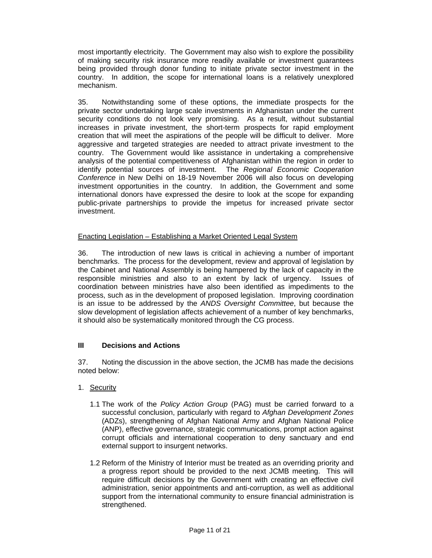most importantly electricity. The Government may also wish to explore the possibility of making security risk insurance more readily available or investment guarantees being provided through donor funding to initiate private sector investment in the country. In addition, the scope for international loans is a relatively unexplored mechanism.

35. Notwithstanding some of these options, the immediate prospects for the private sector undertaking large scale investments in Afghanistan under the current security conditions do not look very promising. As a result, without substantial increases in private investment, the short-term prospects for rapid employment creation that will meet the aspirations of the people will be difficult to deliver. More aggressive and targeted strategies are needed to attract private investment to the country. The Government would like assistance in undertaking a comprehensive analysis of the potential competitiveness of Afghanistan within the region in order to identify potential sources of investment. The *Regional Economic Cooperation Conference* in New Delhi on 18-19 November 2006 will also focus on developing investment opportunities in the country. In addition, the Government and some international donors have expressed the desire to look at the scope for expanding public-private partnerships to provide the impetus for increased private sector investment.

### Enacting Legislation – Establishing a Market Oriented Legal System

36. The introduction of new laws is critical in achieving a number of important benchmarks. The process for the development, review and approval of legislation by the Cabinet and National Assembly is being hampered by the lack of capacity in the responsible ministries and also to an extent by lack of urgency. Issues of coordination between ministries have also been identified as impediments to the process, such as in the development of proposed legislation. Improving coordination is an issue to be addressed by the *ANDS Oversight Committee*, but because the slow development of legislation affects achievement of a number of key benchmarks, it should also be systematically monitored through the CG process.

#### **III Decisions and Actions**

37. Noting the discussion in the above section, the JCMB has made the decisions noted below:

- 1. Security
	- 1.1 The work of the *Policy Action Group* (PAG) must be carried forward to a successful conclusion, particularly with regard to *Afghan Development Zones* (ADZs), strengthening of Afghan National Army and Afghan National Police (ANP), effective governance, strategic communications, prompt action against corrupt officials and international cooperation to deny sanctuary and end external support to insurgent networks.
	- 1.2 Reform of the Ministry of Interior must be treated as an overriding priority and a progress report should be provided to the next JCMB meeting. This will require difficult decisions by the Government with creating an effective civil administration, senior appointments and anti-corruption, as well as additional support from the international community to ensure financial administration is strengthened.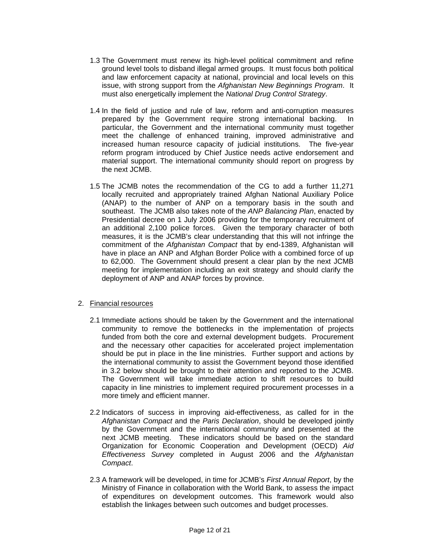- 1.3 The Government must renew its high-level political commitment and refine ground level tools to disband illegal armed groups. It must focus both political and law enforcement capacity at national, provincial and local levels on this issue, with strong support from the *Afghanistan New Beginnings Program*. It must also energetically implement the *National Drug Control Strategy*.
- 1.4 In the field of justice and rule of law, reform and anti-corruption measures prepared by the Government require strong international backing. In particular, the Government and the international community must together meet the challenge of enhanced training, improved administrative and increased human resource capacity of judicial institutions. The five-year reform program introduced by Chief Justice needs active endorsement and material support. The international community should report on progress by the next JCMB.
- 1.5 The JCMB notes the recommendation of the CG to add a further 11,271 locally recruited and appropriately trained Afghan National Auxiliary Police (ANAP) to the number of ANP on a temporary basis in the south and southeast. The JCMB also takes note of the *ANP Balancing Plan*, enacted by Presidential decree on 1 July 2006 providing for the temporary recruitment of an additional 2,100 police forces. Given the temporary character of both measures, it is the JCMB's clear understanding that this will not infringe the commitment of the *Afghanistan Compact* that by end-1389, Afghanistan will have in place an ANP and Afghan Border Police with a combined force of up to 62,000. The Government should present a clear plan by the next JCMB meeting for implementation including an exit strategy and should clarify the deployment of ANP and ANAP forces by province.

### 2. Financial resources

- 2.1 Immediate actions should be taken by the Government and the international community to remove the bottlenecks in the implementation of projects funded from both the core and external development budgets. Procurement and the necessary other capacities for accelerated project implementation should be put in place in the line ministries. Further support and actions by the international community to assist the Government beyond those identified in 3.2 below should be brought to their attention and reported to the JCMB. The Government will take immediate action to shift resources to build capacity in line ministries to implement required procurement processes in a more timely and efficient manner.
- 2.2 Indicators of success in improving aid-effectiveness, as called for in the *Afghanistan Compact* and the *Paris Declaration*, should be developed jointly by the Government and the international community and presented at the next JCMB meeting. These indicators should be based on the standard Organization for Economic Cooperation and Development (OECD) *Aid Effectiveness Survey* completed in August 2006 and the *Afghanistan Compact*.
- 2.3 A framework will be developed, in time for JCMB's *First Annual Report*, by the Ministry of Finance in collaboration with the World Bank, to assess the impact of expenditures on development outcomes. This framework would also establish the linkages between such outcomes and budget processes.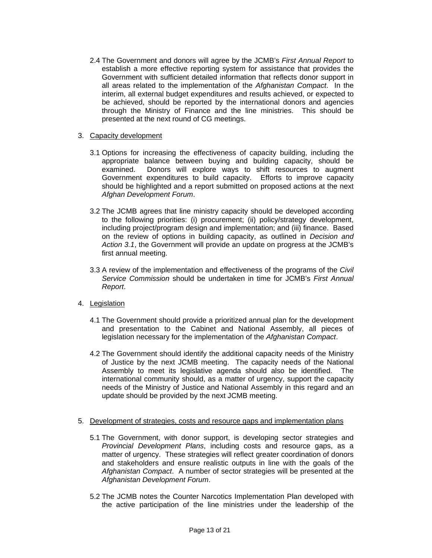- 2.4 The Government and donors will agree by the JCMB's *First Annual Report* to establish a more effective reporting system for assistance that provides the Government with sufficient detailed information that reflects donor support in all areas related to the implementation of the *Afghanistan Compact*. In the interim, all external budget expenditures and results achieved, or expected to be achieved, should be reported by the international donors and agencies through the Ministry of Finance and the line ministries. This should be presented at the next round of CG meetings.
- 3. Capacity development
	- 3.1 Options for increasing the effectiveness of capacity building, including the appropriate balance between buying and building capacity, should be examined. Donors will explore ways to shift resources to augment Government expenditures to build capacity. Efforts to improve capacity should be highlighted and a report submitted on proposed actions at the next *Afghan Development Forum*.
	- 3.2 The JCMB agrees that line ministry capacity should be developed according to the following priorities: (i) procurement; (ii) policy/strategy development, including project/program design and implementation; and (iii) finance. Based on the review of options in building capacity, as outlined in *Decision and Action 3.1*, the Government will provide an update on progress at the JCMB's first annual meeting.
	- 3.3 A review of the implementation and effectiveness of the programs of the *Civil Service Commission* should be undertaken in time for JCMB's *First Annual Report*.
- 4. Legislation
	- 4.1 The Government should provide a prioritized annual plan for the development and presentation to the Cabinet and National Assembly, all pieces of legislation necessary for the implementation of the *Afghanistan Compact*.
	- 4.2 The Government should identify the additional capacity needs of the Ministry of Justice by the next JCMB meeting. The capacity needs of the National Assembly to meet its legislative agenda should also be identified. The international community should, as a matter of urgency, support the capacity needs of the Ministry of Justice and National Assembly in this regard and an update should be provided by the next JCMB meeting.
- 5. Development of strategies, costs and resource gaps and implementation plans
	- 5.1 The Government, with donor support, is developing sector strategies and *Provincial Development Plans*, including costs and resource gaps, as a matter of urgency. These strategies will reflect greater coordination of donors and stakeholders and ensure realistic outputs in line with the goals of the *Afghanistan Compact*. A number of sector strategies will be presented at the *Afghanistan Development Forum*.
	- 5.2 The JCMB notes the Counter Narcotics Implementation Plan developed with the active participation of the line ministries under the leadership of the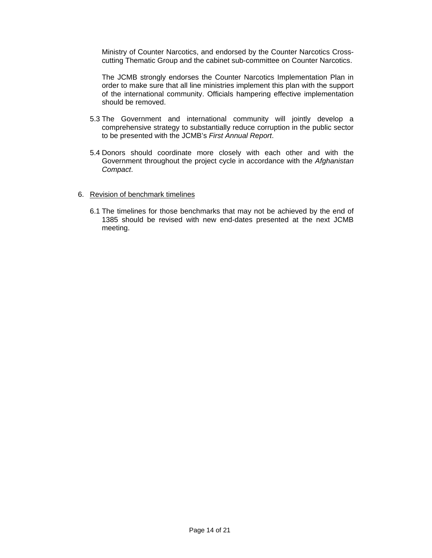Ministry of Counter Narcotics, and endorsed by the Counter Narcotics Crosscutting Thematic Group and the cabinet sub-committee on Counter Narcotics.

The JCMB strongly endorses the Counter Narcotics Implementation Plan in order to make sure that all line ministries implement this plan with the support of the international community. Officials hampering effective implementation should be removed.

- 5.3 The Government and international community will jointly develop a comprehensive strategy to substantially reduce corruption in the public sector to be presented with the JCMB's *First Annual Report*.
- 5.4 Donors should coordinate more closely with each other and with the Government throughout the project cycle in accordance with the *Afghanistan Compact*.

#### 6. Revision of benchmark timelines

6.1 The timelines for those benchmarks that may not be achieved by the end of 1385 should be revised with new end-dates presented at the next JCMB meeting.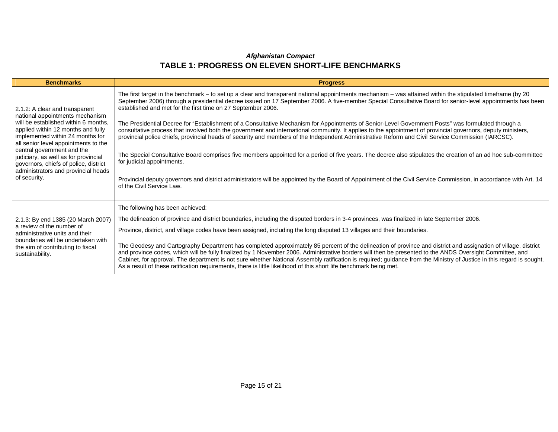| <b>Benchmarks</b>                                                                                                                                                                                                                                                                                                                                                                                 | <b>Progress</b>                                                                                                                                                                                                                                                                                                                                                                                                                                                                                                                                                                                                                                                                                                                                                                                                                                                                                                                                                                                                                                                                                                                                                                                                                                                         |
|---------------------------------------------------------------------------------------------------------------------------------------------------------------------------------------------------------------------------------------------------------------------------------------------------------------------------------------------------------------------------------------------------|-------------------------------------------------------------------------------------------------------------------------------------------------------------------------------------------------------------------------------------------------------------------------------------------------------------------------------------------------------------------------------------------------------------------------------------------------------------------------------------------------------------------------------------------------------------------------------------------------------------------------------------------------------------------------------------------------------------------------------------------------------------------------------------------------------------------------------------------------------------------------------------------------------------------------------------------------------------------------------------------------------------------------------------------------------------------------------------------------------------------------------------------------------------------------------------------------------------------------------------------------------------------------|
| 2.1.2: A clear and transparent<br>national appointments mechanism<br>will be established within 6 months,<br>applied within 12 months and fully<br>implemented within 24 months for<br>all senior level appointments to the<br>central government and the<br>judiciary, as well as for provincial<br>governors, chiefs of police, district<br>administrators and provincial heads<br>of security. | The first target in the benchmark – to set up a clear and transparent national appointments mechanism – was attained within the stipulated timeframe (by 20<br>September 2006) through a presidential decree issued on 17 September 2006. A five-member Special Consultative Board for senior-level appointments has been<br>established and met for the first time on 27 September 2006.<br>The Presidential Decree for "Establishment of a Consultative Mechanism for Appointments of Senior-Level Government Posts" was formulated through a<br>consultative process that involved both the government and international community. It applies to the appointment of provincial governors, deputy ministers,<br>provincial police chiefs, provincial heads of security and members of the Independent Administrative Reform and Civil Service Commission (IARCSC).<br>The Special Consultative Board comprises five members appointed for a period of five years. The decree also stipulates the creation of an ad hoc sub-committee<br>for judicial appointments.<br>Provincial deputy governors and district administrators will be appointed by the Board of Appointment of the Civil Service Commission, in accordance with Art. 14<br>of the Civil Service Law. |
| 2.1.3: By end 1385 (20 March 2007)<br>a review of the number of<br>administrative units and their<br>boundaries will be undertaken with<br>the aim of contributing to fiscal<br>sustainability.                                                                                                                                                                                                   | The following has been achieved:<br>The delineation of province and district boundaries, including the disputed borders in 3-4 provinces, was finalized in late September 2006.<br>Province, district, and village codes have been assigned, including the long disputed 13 villages and their boundaries.<br>The Geodesy and Cartography Department has completed approximately 85 percent of the delineation of province and district and assignation of village, district<br>and province codes, which will be fully finalized by 1 November 2006. Administrative borders will then be presented to the ANDS Oversight Committee, and<br>Cabinet, for approval. The department is not sure whether National Assembly ratification is required; guidance from the Ministry of Justice in this regard is sought.<br>As a result of these ratification requirements, there is little likelihood of this short life benchmark being met.                                                                                                                                                                                                                                                                                                                                 |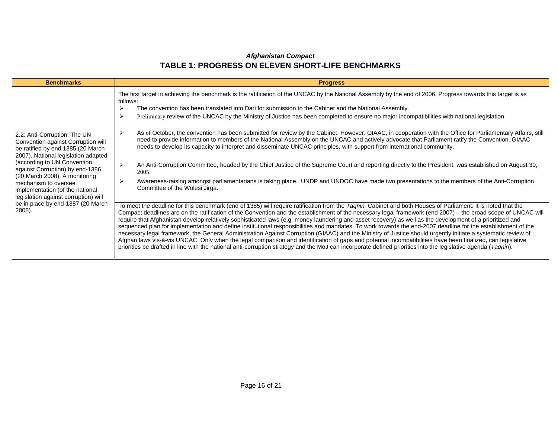| <b>Benchmarks</b>                                                                                                                                                                                                                                                                                                                                                                                   | <b>Progress</b>                                                                                                                                                                                                                                                                                                                                                                                                                                                                                                                                                                                                                                                                                                                                                                                                                                                                                                                                                                                                                                                                                                                                                                                                                                                                                                                                                                                                                                                                                                                                                                                                                                                                                                                                                                                                                                                                                                                                                                                                                                                                                                                                                                                                                                                                                                                                                                                                                                                                        |
|-----------------------------------------------------------------------------------------------------------------------------------------------------------------------------------------------------------------------------------------------------------------------------------------------------------------------------------------------------------------------------------------------------|----------------------------------------------------------------------------------------------------------------------------------------------------------------------------------------------------------------------------------------------------------------------------------------------------------------------------------------------------------------------------------------------------------------------------------------------------------------------------------------------------------------------------------------------------------------------------------------------------------------------------------------------------------------------------------------------------------------------------------------------------------------------------------------------------------------------------------------------------------------------------------------------------------------------------------------------------------------------------------------------------------------------------------------------------------------------------------------------------------------------------------------------------------------------------------------------------------------------------------------------------------------------------------------------------------------------------------------------------------------------------------------------------------------------------------------------------------------------------------------------------------------------------------------------------------------------------------------------------------------------------------------------------------------------------------------------------------------------------------------------------------------------------------------------------------------------------------------------------------------------------------------------------------------------------------------------------------------------------------------------------------------------------------------------------------------------------------------------------------------------------------------------------------------------------------------------------------------------------------------------------------------------------------------------------------------------------------------------------------------------------------------------------------------------------------------------------------------------------------------|
| 2.2: Anti-Corruption: The UN<br>Convention against Corruption will<br>be ratified by end 1385 (20 March<br>2007). National legislation adapted<br>(according to UN Convention<br>against Corruption) by end-1386<br>(20 March 2008). A monitoring<br>mechanism to oversee<br>implementation (of the national<br>legislation against corruption) will<br>be in place by end-1387 (20 March<br>2008). | The first target in achieving the benchmark is the ratification of the UNCAC by the National Assembly by the end of 2006. Progress towards this target is as<br>follows:<br>The convention has been translated into Dari for submission to the Cabinet and the National Assembly.<br>≻<br>↘<br>Preliminary review of the UNCAC by the Ministry of Justice has been completed to ensure no major incompatibilities with national legislation.<br>As of October, the convention has been submitted for review by the Cabinet. However, GIAAC, in cooperation with the Office for Parliamentary Affairs, still<br>$\blacktriangleright$<br>need to provide information to members of the National Assembly on the UNCAC and actively advocate that Parliament ratify the Convention. GIAAC<br>needs to develop its capacity to interpret and disseminate UNCAC principles, with support from international community.<br>$\blacktriangleright$<br>An Anti-Corruption Committee, headed by the Chief Justice of the Supreme Court and reporting directly to the President, was established on August 30,<br>2005.<br>Awareness-raising amongst parliamentarians is taking place. UNDP and UNDOC have made two presentations to the members of the Anti-Corruption<br>$\blacktriangleright$<br>Committee of the Wolesi Jirga.<br>To meet the deadline for this benchmark (end of 1385) will require ratification from the Taqnin, Cabinet and both Houses of Parliament. It is noted that the<br>Compact deadlines are on the ratification of the Convention and the establishment of the necessary legal framework (end 2007) – the broad scope of UNCAC will<br>require that Afghanistan develop relatively sophisticated laws (e.g. money laundering and asset recovery) as well as the development of a prioritized and<br>sequenced plan for implementation and define institutional responsibilities and mandates. To work towards the end-2007 deadline for the establishment of the<br>necessary legal framework, the General Administration Against Corruption (GIAAC) and the Ministry of Justice should urgently initiate a systematic review of<br>Afghan laws vis-à-vis UNCAC. Only when the legal comparison and identification of gaps and potential incompatibilities have been finalized, can legislative<br>priorities be drafted in line with the national anti-corruption strategy and the MoJ can incorporate defined priorities into the legislative agenda (Taqnin). |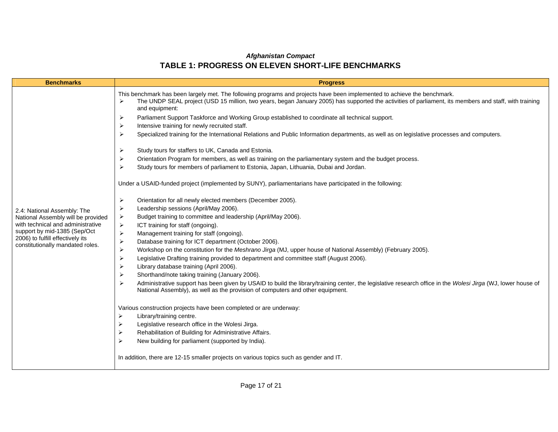| <b>Benchmarks</b>                                                                                                                                                                                              | <b>Progress</b>                                                                                                                                                                                                                                                                                                                                                                                                                                                                                                                                                                                                                                                                                                                                                                                                                                                                                                                                                                                                                                                                                                                                                                                                                                                                                                                                                                                                                                                                                                                                                                                                                                                                                                                                                                                                                                                                                                                                                                                                                                                                                                                                                                                                                                                                                                                                                                                                                                                                                                                                                                                                                                                                            |
|----------------------------------------------------------------------------------------------------------------------------------------------------------------------------------------------------------------|--------------------------------------------------------------------------------------------------------------------------------------------------------------------------------------------------------------------------------------------------------------------------------------------------------------------------------------------------------------------------------------------------------------------------------------------------------------------------------------------------------------------------------------------------------------------------------------------------------------------------------------------------------------------------------------------------------------------------------------------------------------------------------------------------------------------------------------------------------------------------------------------------------------------------------------------------------------------------------------------------------------------------------------------------------------------------------------------------------------------------------------------------------------------------------------------------------------------------------------------------------------------------------------------------------------------------------------------------------------------------------------------------------------------------------------------------------------------------------------------------------------------------------------------------------------------------------------------------------------------------------------------------------------------------------------------------------------------------------------------------------------------------------------------------------------------------------------------------------------------------------------------------------------------------------------------------------------------------------------------------------------------------------------------------------------------------------------------------------------------------------------------------------------------------------------------------------------------------------------------------------------------------------------------------------------------------------------------------------------------------------------------------------------------------------------------------------------------------------------------------------------------------------------------------------------------------------------------------------------------------------------------------------------------------------------------|
| 2.4: National Assembly: The<br>National Assembly will be provided<br>with technical and administrative<br>support by mid-1385 (Sep/Oct<br>2006) to fulfill effectively its<br>constitutionally mandated roles. | This benchmark has been largely met. The following programs and projects have been implemented to achieve the benchmark.<br>The UNDP SEAL project (USD 15 million, two years, began January 2005) has supported the activities of parliament, its members and staff, with training<br>$\blacktriangleright$<br>and equipment:<br>$\blacktriangleright$<br>Parliament Support Taskforce and Working Group established to coordinate all technical support.<br>Intensive training for newly recruited staff.<br>$\blacktriangleright$<br>Specialized training for the International Relations and Public Information departments, as well as on legislative processes and computers.<br>$\blacktriangleright$<br>$\blacktriangleright$<br>Study tours for staffers to UK, Canada and Estonia.<br>Orientation Program for members, as well as training on the parliamentary system and the budget process.<br>≻<br>Study tours for members of parliament to Estonia, Japan, Lithuania, Dubai and Jordan.<br>$\blacktriangleright$<br>Under a USAID-funded project (implemented by SUNY), parliamentarians have participated in the following:<br>$\blacktriangleright$<br>Orientation for all newly elected members (December 2005).<br>Leadership sessions (April/May 2006).<br>$\blacktriangleright$<br>$\blacktriangleright$<br>Budget training to committee and leadership (April/May 2006).<br>$\blacktriangleright$<br>ICT training for staff (ongoing).<br>$\blacktriangleright$<br>Management training for staff (ongoing).<br>$\blacktriangleright$<br>Database training for ICT department (October 2006).<br>$\blacktriangleright$<br>Workshop on the constitution for the Meshrano Jirga (MJ, upper house of National Assembly) (February 2005).<br>$\blacktriangleright$<br>Legislative Drafting training provided to department and committee staff (August 2006).<br>Library database training (April 2006).<br>$\blacktriangleright$<br>Shorthand/note taking training (January 2006).<br>$\blacktriangleright$<br>$\blacktriangleright$<br>Administrative support has been given by USAID to build the library/training center, the legislative research office in the Wolesi Jirga (WJ, lower house of<br>National Assembly), as well as the provision of computers and other equipment.<br>Various construction projects have been completed or are underway:<br>Library/training centre.<br>➤<br>Legislative research office in the Wolesi Jirga.<br>⋗<br>Rehabilitation of Building for Administrative Affairs.<br>⋗<br>New building for parliament (supported by India).<br>⋗<br>In addition, there are 12-15 smaller projects on various topics such as gender and IT. |
|                                                                                                                                                                                                                |                                                                                                                                                                                                                                                                                                                                                                                                                                                                                                                                                                                                                                                                                                                                                                                                                                                                                                                                                                                                                                                                                                                                                                                                                                                                                                                                                                                                                                                                                                                                                                                                                                                                                                                                                                                                                                                                                                                                                                                                                                                                                                                                                                                                                                                                                                                                                                                                                                                                                                                                                                                                                                                                                            |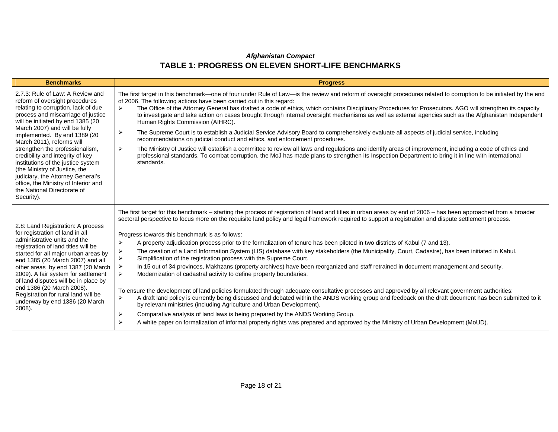| <b>Benchmarks</b>                                                                                                                                                                                                                                                                                                                                                                                                                                                                                                                                          | <b>Progress</b>                                                                                                                                                                                                                                                                                                                                                                                                                                                                                                                                                                                                                                                                                                                                                                                                                                                                                                                                                                                                                                                                                                                                                                                                                                                                                                                                                                                                                                                                                                                                                                                     |
|------------------------------------------------------------------------------------------------------------------------------------------------------------------------------------------------------------------------------------------------------------------------------------------------------------------------------------------------------------------------------------------------------------------------------------------------------------------------------------------------------------------------------------------------------------|-----------------------------------------------------------------------------------------------------------------------------------------------------------------------------------------------------------------------------------------------------------------------------------------------------------------------------------------------------------------------------------------------------------------------------------------------------------------------------------------------------------------------------------------------------------------------------------------------------------------------------------------------------------------------------------------------------------------------------------------------------------------------------------------------------------------------------------------------------------------------------------------------------------------------------------------------------------------------------------------------------------------------------------------------------------------------------------------------------------------------------------------------------------------------------------------------------------------------------------------------------------------------------------------------------------------------------------------------------------------------------------------------------------------------------------------------------------------------------------------------------------------------------------------------------------------------------------------------------|
| 2.7.3: Rule of Law: A Review and<br>reform of oversight procedures<br>relating to corruption, lack of due<br>process and miscarriage of justice<br>will be initiated by end 1385 (20<br>March 2007) and will be fully<br>implemented. By end 1389 (20<br>March 2011), reforms will<br>strengthen the professionalism,<br>credibility and integrity of key<br>institutions of the justice system<br>(the Ministry of Justice, the<br>judiciary, the Attorney General's<br>office, the Ministry of Interior and<br>the National Directorate of<br>Security). | The first target in this benchmark—one of four under Rule of Law—is the review and reform of oversight procedures related to corruption to be initiated by the end<br>of 2006. The following actions have been carried out in this regard:<br>The Office of the Attorney General has drafted a code of ethics, which contains Disciplinary Procedures for Prosecutors. AGO will strengthen its capacity<br>$\blacktriangleright$<br>to investigate and take action on cases brought through internal oversight mechanisms as well as external agencies such as the Afghanistan Independent<br>Human Rights Commission (AIHRC).<br>The Supreme Court is to establish a Judicial Service Advisory Board to comprehensively evaluate all aspects of judicial service, including<br>⋗<br>recommendations on judicial conduct and ethics, and enforcement procedures.<br>The Ministry of Justice will establish a committee to review all laws and regulations and identify areas of improvement, including a code of ethics and<br>≻<br>professional standards. To combat corruption, the MoJ has made plans to strengthen its Inspection Department to bring it in line with international<br>standards.                                                                                                                                                                                                                                                                                                                                                                                               |
| 2.8: Land Registration: A process<br>for registration of land in all<br>administrative units and the<br>registration of land titles will be<br>started for all major urban areas by<br>end 1385 (20 March 2007) and all<br>other areas by end 1387 (20 March<br>2009). A fair system for settlement<br>of land disputes will be in place by<br>end 1386 (20 March 2008).<br>Registration for rural land will be<br>underway by end 1386 (20 March<br>2008).                                                                                                | The first target for this benchmark - starting the process of registration of land and titles in urban areas by end of 2006 - has been approached from a broader<br>sectoral perspective to focus more on the requisite land policy and legal framework required to support a registration and dispute settlement process.<br>Progress towards this benchmark is as follows:<br>⋗<br>A property adjudication process prior to the formalization of tenure has been piloted in two districts of Kabul (7 and 13).<br>The creation of a Land Information System (LIS) database with key stakeholders (the Municipality, Court, Cadastre), has been initiated in Kabul.<br>⋗<br>Simplification of the registration process with the Supreme Court.<br>In 15 out of 34 provinces, Makhzans (property archives) have been reorganized and staff retrained in document management and security.<br>⋗<br>Modernization of cadastral activity to define property boundaries.<br>To ensure the development of land policies formulated through adequate consultative processes and approved by all relevant government authorities:<br>A draft land policy is currently being discussed and debated within the ANDS working group and feedback on the draft document has been submitted to it<br>⋗<br>by relevant ministries (including Agriculture and Urban Development).<br>Comparative analysis of land laws is being prepared by the ANDS Working Group.<br>⋗<br>A white paper on formalization of informal property rights was prepared and approved by the Ministry of Urban Development (MoUD).<br>⋗ |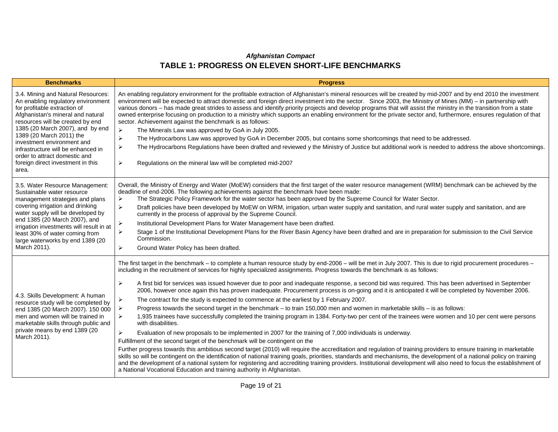| <b>Benchmarks</b>                                                                                                                                                                                                                                                                                                                                                                                    | <b>Progress</b>                                                                                                                                                                                                                                                                                                                                                                                                                                                                                                                                                                                                                                                                                                                                                                                                                                                                                                                                                                                                                                                                                                                                                                                                                                                                                                                                                                                                                                                                                                                                                                                                                                                                                                                                                                                                                                                                                                                  |
|------------------------------------------------------------------------------------------------------------------------------------------------------------------------------------------------------------------------------------------------------------------------------------------------------------------------------------------------------------------------------------------------------|----------------------------------------------------------------------------------------------------------------------------------------------------------------------------------------------------------------------------------------------------------------------------------------------------------------------------------------------------------------------------------------------------------------------------------------------------------------------------------------------------------------------------------------------------------------------------------------------------------------------------------------------------------------------------------------------------------------------------------------------------------------------------------------------------------------------------------------------------------------------------------------------------------------------------------------------------------------------------------------------------------------------------------------------------------------------------------------------------------------------------------------------------------------------------------------------------------------------------------------------------------------------------------------------------------------------------------------------------------------------------------------------------------------------------------------------------------------------------------------------------------------------------------------------------------------------------------------------------------------------------------------------------------------------------------------------------------------------------------------------------------------------------------------------------------------------------------------------------------------------------------------------------------------------------------|
| 3.4. Mining and Natural Resources:<br>An enabling regulatory environment<br>for profitable extraction of<br>Afghanistan's mineral and natural<br>resources will be created by end<br>1385 (20 March 2007), and by end<br>1389 (20 March 2011) the<br>investment environment and<br>infrastructure will be enhanced in<br>order to attract domestic and<br>foreign direct investment in this<br>area. | An enabling regulatory environment for the profitable extraction of Afghanistan's mineral resources will be created by mid-2007 and by end 2010 the investment<br>environment will be expected to attract domestic and foreign direct investment into the sector. Since 2003, the Ministry of Mines (MM) – in partnership with<br>various donors - has made great strides to assess and identify priority projects and develop programs that will assist the ministry in the transition from a state<br>owned enterprise focusing on production to a ministry which supports an enabling environment for the private sector and, furthermore, ensures regulation of that<br>sector. Achievement against the benchmark is as follows:<br>The Minerals Law was approved by GoA in July 2005.<br>$\blacktriangleright$<br>$\blacktriangleright$<br>The Hydrocarbons Law was approved by GoA in December 2005, but contains some shortcomings that need to be addressed.<br>$\blacktriangleright$<br>The Hydrocarbons Regulations have been drafted and reviewed y the Ministry of Justice but additional work is needed to address the above shortcomings.<br>$\blacktriangleright$<br>Regulations on the mineral law will be completed mid-2007                                                                                                                                                                                                                                                                                                                                                                                                                                                                                                                                                                                                                                                                                    |
| 3.5. Water Resource Management:<br>Sustainable water resource<br>management strategies and plans<br>covering irrigation and drinking<br>water supply will be developed by<br>end 1385 (20 March 2007), and<br>irrigation investments will result in at<br>least 30% of water coming from<br>large waterworks by end 1389 (20<br>March 2011).                                                         | Overall, the Ministry of Energy and Water (MoEW) considers that the first target of the water resource management (WRM) benchmark can be achieved by the<br>deadline of end-2006. The following achievements against the benchmark have been made:<br>The Strategic Policy Framework for the water sector has been approved by the Supreme Council for Water Sector.<br>$\blacktriangleright$<br>$\blacktriangleright$<br>Draft policies have been developed by MoEW on WRM, irrigation, urban water supply and sanitation, and rural water supply and sanitation, and are<br>currently in the process of approval by the Supreme Council.<br>$\blacktriangleright$<br>Institutional Development Plans for Water Management have been drafted.<br>Stage 1 of the Institutional Development Plans for the River Basin Agency have been drafted and are in preparation for submission to the Civil Service<br>$\blacktriangleright$<br>Commission.<br>$\blacktriangleright$<br>Ground Water Policy has been drafted.                                                                                                                                                                                                                                                                                                                                                                                                                                                                                                                                                                                                                                                                                                                                                                                                                                                                                                               |
| 4.3. Skills Development: A human<br>resource study will be completed by<br>end 1385 (20 March 2007). 150 000<br>men and women will be trained in<br>marketable skills through public and<br>private means by end 1389 (20<br>March 2011).                                                                                                                                                            | The first target in the benchmark - to complete a human resource study by end-2006 - will be met in July 2007. This is due to rigid procurement procedures -<br>including in the recruitment of services for highly specialized assignments. Progress towards the benchmark is as follows:<br>$\blacktriangleright$<br>A first bid for services was issued however due to poor and inadequate response, a second bid was required. This has been advertised in September<br>2006, however once again this has proven inadequate. Procurement process is on-going and it is anticipated it will be completed by November 2006.<br>$\blacktriangleright$<br>The contract for the study is expected to commence at the earliest by 1 February 2007.<br>Progress towards the second target in the benchmark - to train 150,000 men and women in marketable skills - is as follows:<br>$\blacktriangleright$<br>$\blacktriangleright$<br>1,935 trainees have successfully completed the training program in 1384. Forty-two per cent of the trainees were women and 10 per cent were persons<br>with disabilities.<br>$\blacktriangleright$<br>Evaluation of new proposals to be implemented in 2007 for the training of 7,000 individuals is underway.<br>Fulfillment of the second target of the benchmark will be contingent on the<br>Further progress towards this ambitious second target (2010) will require the accreditation and regulation of training providers to ensure training in marketable<br>skills so will be contingent on the identification of national training goals, priorities, standards and mechanisms, the development of a national policy on training<br>and the development of a national system for registering and accrediting training providers. Institutional development will also need to focus the establishment of<br>a National Vocational Education and training authority in Afghanistan. |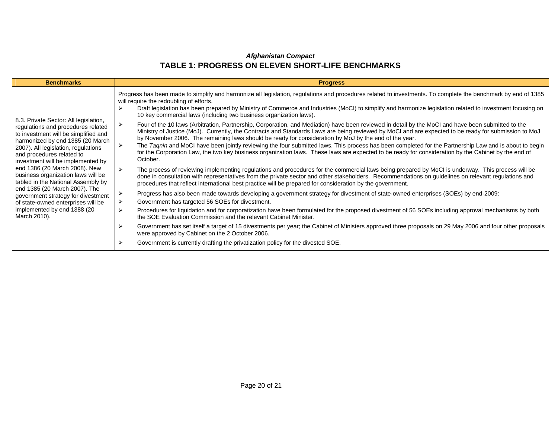| <b>Benchmarks</b>                                                                                                                                                                                                                                                                                                                                                                                                                                                                                                                         | <b>Progress</b>                                                                                                                                                                                                                                                                                                                                                                                                                                                                                                                                                                                                                                                                                                                                           |
|-------------------------------------------------------------------------------------------------------------------------------------------------------------------------------------------------------------------------------------------------------------------------------------------------------------------------------------------------------------------------------------------------------------------------------------------------------------------------------------------------------------------------------------------|-----------------------------------------------------------------------------------------------------------------------------------------------------------------------------------------------------------------------------------------------------------------------------------------------------------------------------------------------------------------------------------------------------------------------------------------------------------------------------------------------------------------------------------------------------------------------------------------------------------------------------------------------------------------------------------------------------------------------------------------------------------|
| 8.3. Private Sector: All legislation,<br>regulations and procedures related<br>to investment will be simplified and<br>harmonized by end 1385 (20 March<br>2007). All legislation, regulations<br>and procedures related to<br>investment will be implemented by<br>end 1386 (20 March 2008). New<br>business organization laws will be<br>tabled in the National Assembly by<br>end 1385 (20 March 2007). The<br>government strategy for divestment<br>of state-owned enterprises will be<br>implemented by end 1388 (20<br>March 2010). | Progress has been made to simplify and harmonize all legislation, regulations and procedures related to investments. To complete the benchmark by end of 1385<br>will require the redoubling of efforts.<br>Draft legislation has been prepared by Ministry of Commerce and Industries (MoCI) to simplify and harmonize legislation related to investment focusing on<br>10 key commercial laws (including two business organization laws).<br>Four of the 10 laws (Arbitration, Partnership, Corporation, and Mediation) have been reviewed in detail by the MoCI and have been submitted to the<br>Ministry of Justice (MoJ). Currently, the Contracts and Standards Laws are being reviewed by MoCl and are expected to be ready for submission to MoJ |
|                                                                                                                                                                                                                                                                                                                                                                                                                                                                                                                                           | by November 2006. The remaining laws should be ready for consideration by MoJ by the end of the year.<br>The Tagnin and MoCI have been jointly reviewing the four submitted laws. This process has been completed for the Partnership Law and is about to begin<br>for the Corporation Law, the two key business organization laws. These laws are expected to be ready for consideration by the Cabinet by the end of<br>October.                                                                                                                                                                                                                                                                                                                        |
|                                                                                                                                                                                                                                                                                                                                                                                                                                                                                                                                           | The process of reviewing implementing regulations and procedures for the commercial laws being prepared by MoCI is underway. This process will be<br>done in consultation with representatives from the private sector and other stakeholders. Recommendations on guidelines on relevant regulations and<br>procedures that reflect international best practice will be prepared for consideration by the government.                                                                                                                                                                                                                                                                                                                                     |
|                                                                                                                                                                                                                                                                                                                                                                                                                                                                                                                                           | Progress has also been made towards developing a government strategy for divestment of state-owned enterprises (SOEs) by end-2009:<br>Government has targeted 56 SOEs for divestment.                                                                                                                                                                                                                                                                                                                                                                                                                                                                                                                                                                     |
|                                                                                                                                                                                                                                                                                                                                                                                                                                                                                                                                           | Procedures for liquidation and for corporatization have been formulated for the proposed divestment of 56 SOEs including approval mechanisms by both<br>⋗<br>the SOE Evaluation Commission and the relevant Cabinet Minister.                                                                                                                                                                                                                                                                                                                                                                                                                                                                                                                             |
|                                                                                                                                                                                                                                                                                                                                                                                                                                                                                                                                           | Government has set itself a target of 15 divestments per year; the Cabinet of Ministers approved three proposals on 29 May 2006 and four other proposals<br>were approved by Cabinet on the 2 October 2006.                                                                                                                                                                                                                                                                                                                                                                                                                                                                                                                                               |
|                                                                                                                                                                                                                                                                                                                                                                                                                                                                                                                                           | Government is currently drafting the privatization policy for the divested SOE.                                                                                                                                                                                                                                                                                                                                                                                                                                                                                                                                                                                                                                                                           |